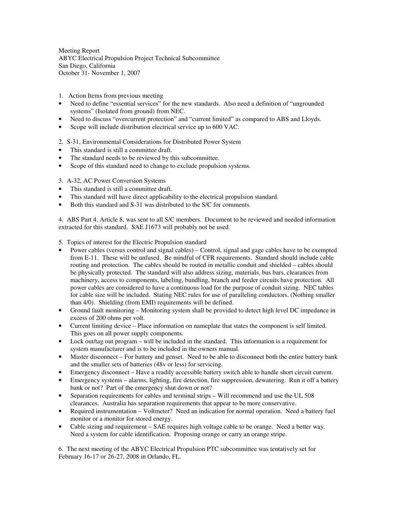Meeting Report ABYC Electrical Propulsion Project Technical Subcommittee San Diego, California October 31- November 1, 2007

- 1. Action Items from previous meeting
- Need to define "essential services" for the new standards. Also need a definition of "ungrounded" systems" (Isolated from ground) from NEC.
- Need to discuss "overcurrent protection" and "current limited" as compared to ABS and Lloyds.
- Scope will include distribution electrical service up to 600 VAC.

2. S-31, Environmental Considerations for Distributed Power System

- This standard is still a committee draft.
- The standard needs to be reviewed by this subcommittee.
- Scope of this standard need to change to exclude propulsion systems.

## 3. A-32, AC Power Conversion Systems

- This standard is still a committee draft.
- This standard will have direct applicability to the electrical propulsion standard.
- Both this standard and S-31 was distributed to the S/C for comments.

4. ABS Part 4, Article 8, was sent to all S/C members. Document to be reviewed and needed information extracted for this standard. SAE J1673 will probably not be used.

## 5. Topics of interest for the Electric Propulsion standard

- Power cables (versus control and signal cables) Control, signal and gage cables have to be exempted from E-11. These will be unfused. Be mindful of CFR requirements. Standard should include cable routing and protection. The cables should be routed in metallic conduit and shielded – cables should be physically protected. The standard will also address sizing, materials, bus bars, clearances from machinery, access to components, labeling, bundling, branch and feeder circuits have protection. All power cables are considered to have a continuous load for the purpose of conduit sizing. NEC tables for cable size will be included. Stating NEC rules for use of paralleling conductors. (Nothing smaller than 4/0). Shielding (from EMI) requirements will be defined.
- Ground fault monitoring Monitoring system shall be provided to detect high level DC impedance in excess of 200 ohms per volt.
- Current limiting device Place information on nameplate that states the component is self limited. This goes on all power supply components.
- Lock out/tag out program will be included in the standard. This information is a requirement for system manufacturer and is to be included in the owners manual.
- Master disconnect For battery and genset. Need to be able to disconnect both the entire battery bank and the smaller sets of batteries (48v or less) for servicing.
- Emergency disconnect Have a readily accessible battery switch able to handle short circuit current.
- Emergency systems alarms, lighting, fire detection, fire suppression, dewatering. Run it off a battery bank or not? Part of the emergency shut down or not?
- Separation requirements for cables and terminal strips Will recommend and use the UL 508 clearances. Australia has separation requirements that appear to be more conservative.
- Required instrumentation Voltmeter? Need an indication for normal operation. Need a battery fuel monitor or a monitor for stored energy.
- Cable sizing and requirement SAE requires high voltage cable to be orange. Need a better way. Need a system for cable identification. Proposing orange or carry an orange stripe.

6. The next meeting of the ABYC Electrical Propulsion PTC subcommittee was tentatively set for February 16-17 or 26-27, 2008 in Orlando, FL.